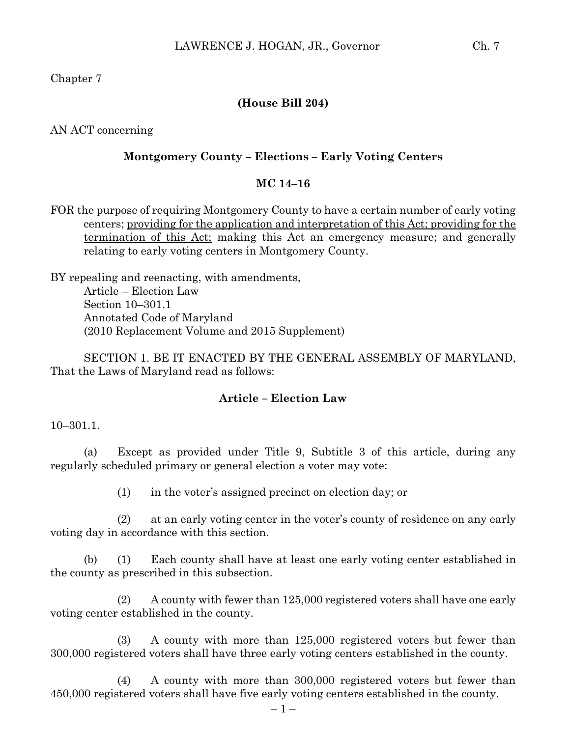Chapter 7

## **(House Bill 204)**

AN ACT concerning

#### **Montgomery County – Elections – Early Voting Centers**

### **MC 14–16**

FOR the purpose of requiring Montgomery County to have a certain number of early voting centers; providing for the application and interpretation of this Act; providing for the termination of this Act; making this Act an emergency measure; and generally relating to early voting centers in Montgomery County.

BY repealing and reenacting, with amendments, Article – Election Law Section 10–301.1 Annotated Code of Maryland (2010 Replacement Volume and 2015 Supplement)

SECTION 1. BE IT ENACTED BY THE GENERAL ASSEMBLY OF MARYLAND, That the Laws of Maryland read as follows:

### **Article – Election Law**

10–301.1.

(a) Except as provided under Title 9, Subtitle 3 of this article, during any regularly scheduled primary or general election a voter may vote:

(1) in the voter's assigned precinct on election day; or

(2) at an early voting center in the voter's county of residence on any early voting day in accordance with this section.

(b) (1) Each county shall have at least one early voting center established in the county as prescribed in this subsection.

(2) A county with fewer than 125,000 registered voters shall have one early voting center established in the county.

(3) A county with more than 125,000 registered voters but fewer than 300,000 registered voters shall have three early voting centers established in the county.

(4) A county with more than 300,000 registered voters but fewer than 450,000 registered voters shall have five early voting centers established in the county.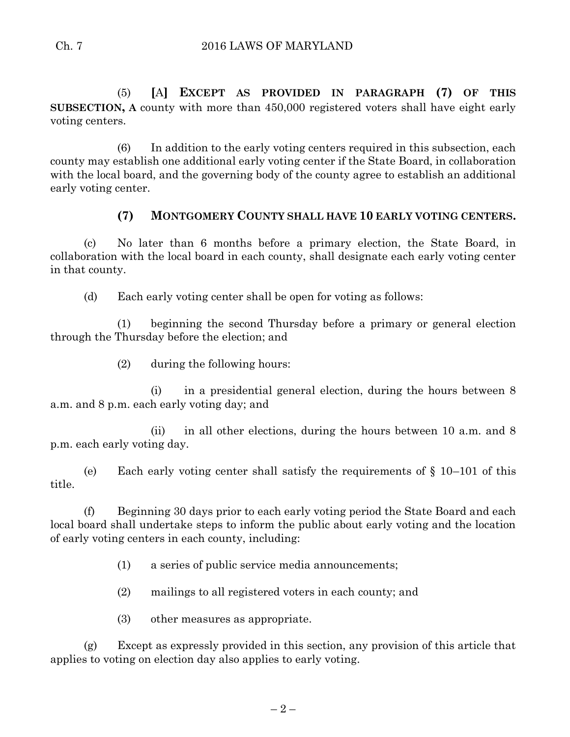(5) **[**A**] EXCEPT AS PROVIDED IN PARAGRAPH (7) OF THIS SUBSECTION, A** county with more than 450,000 registered voters shall have eight early voting centers.

(6) In addition to the early voting centers required in this subsection, each county may establish one additional early voting center if the State Board, in collaboration with the local board, and the governing body of the county agree to establish an additional early voting center.

# **(7) MONTGOMERY COUNTY SHALL HAVE 10 EARLY VOTING CENTERS.**

(c) No later than 6 months before a primary election, the State Board, in collaboration with the local board in each county, shall designate each early voting center in that county.

(d) Each early voting center shall be open for voting as follows:

(1) beginning the second Thursday before a primary or general election through the Thursday before the election; and

(2) during the following hours:

(i) in a presidential general election, during the hours between 8 a.m. and 8 p.m. each early voting day; and

(ii) in all other elections, during the hours between 10 a.m. and 8 p.m. each early voting day.

(e) Each early voting center shall satisfy the requirements of  $\S$  10–101 of this title.

(f) Beginning 30 days prior to each early voting period the State Board and each local board shall undertake steps to inform the public about early voting and the location of early voting centers in each county, including:

(1) a series of public service media announcements;

(2) mailings to all registered voters in each county; and

(3) other measures as appropriate.

(g) Except as expressly provided in this section, any provision of this article that applies to voting on election day also applies to early voting.